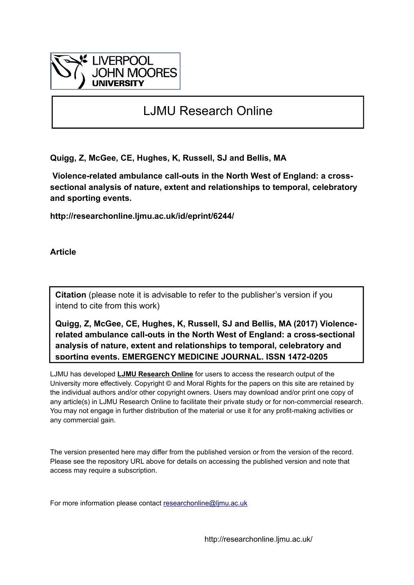

# LJMU Research Online

**Quigg, Z, McGee, CE, Hughes, K, Russell, SJ and Bellis, MA**

 **Violence-related ambulance call-outs in the North West of England: a crosssectional analysis of nature, extent and relationships to temporal, celebratory and sporting events.**

**http://researchonline.ljmu.ac.uk/id/eprint/6244/**

**Article**

**Citation** (please note it is advisable to refer to the publisher's version if you intend to cite from this work)

**Quigg, Z, McGee, CE, Hughes, K, Russell, SJ and Bellis, MA (2017) Violencerelated ambulance call-outs in the North West of England: a cross-sectional analysis of nature, extent and relationships to temporal, celebratory and sporting events. EMERGENCY MEDICINE JOURNAL. ISSN 1472-0205** 

LJMU has developed **[LJMU Research Online](http://researchonline.ljmu.ac.uk/)** for users to access the research output of the University more effectively. Copyright © and Moral Rights for the papers on this site are retained by the individual authors and/or other copyright owners. Users may download and/or print one copy of any article(s) in LJMU Research Online to facilitate their private study or for non-commercial research. You may not engage in further distribution of the material or use it for any profit-making activities or any commercial gain.

The version presented here may differ from the published version or from the version of the record. Please see the repository URL above for details on accessing the published version and note that access may require a subscription.

For more information please contact researchonline@limu.ac.uk

http://researchonline.ljmu.ac.uk/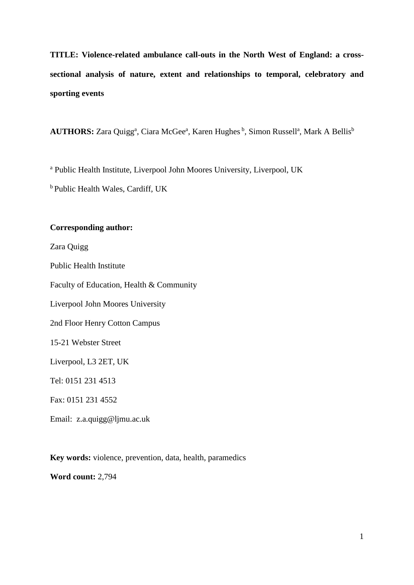**TITLE: Violence-related ambulance call-outs in the North West of England: a crosssectional analysis of nature, extent and relationships to temporal, celebratory and sporting events** 

AUTHORS: Zara Quigg<sup>a</sup>, Ciara McGee<sup>a</sup>, Karen Hughes <sup>b</sup>, Simon Russell<sup>a</sup>, Mark A Bellis<sup>b</sup>

<sup>a</sup> Public Health Institute, Liverpool John Moores University, Liverpool, UK

b Public Health Wales, Cardiff, UK

## **Corresponding author:**

Zara Quigg Public Health Institute Faculty of Education, Health & Community Liverpool John Moores University 2nd Floor Henry Cotton Campus 15-21 Webster Street Liverpool, L3 2ET, UK Tel: 0151 231 4513 Fax: 0151 231 4552

Email: z.a.quigg@ljmu.ac.uk

**Key words:** violence, prevention, data, health, paramedics

**Word count:** 2,794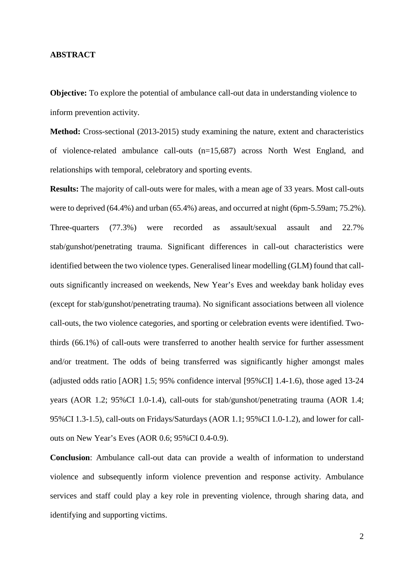#### **ABSTRACT**

**Objective:** To explore the potential of ambulance call-out data in understanding violence to inform prevention activity.

**Method:** Cross-sectional (2013-2015) study examining the nature, extent and characteristics of violence-related ambulance call-outs (n=15,687) across North West England, and relationships with temporal, celebratory and sporting events.

**Results:** The majority of call-outs were for males, with a mean age of 33 years. Most call-outs were to deprived (64.4%) and urban (65.4%) areas, and occurred at night (6pm-5.59am; 75.2%). Three-quarters (77.3%) were recorded as assault/sexual assault and 22.7% stab/gunshot/penetrating trauma. Significant differences in call-out characteristics were identified between the two violence types. Generalised linear modelling (GLM) found that callouts significantly increased on weekends, New Year's Eves and weekday bank holiday eves (except for stab/gunshot/penetrating trauma). No significant associations between all violence call-outs, the two violence categories, and sporting or celebration events were identified. Twothirds (66.1%) of call-outs were transferred to another health service for further assessment and/or treatment. The odds of being transferred was significantly higher amongst males (adjusted odds ratio [AOR] 1.5; 95% confidence interval [95%CI] 1.4-1.6), those aged 13-24 years (AOR 1.2; 95%CI 1.0-1.4), call-outs for stab/gunshot/penetrating trauma (AOR 1.4; 95%CI 1.3-1.5), call-outs on Fridays/Saturdays (AOR 1.1; 95%CI 1.0-1.2), and lower for callouts on New Year's Eves (AOR 0.6; 95%CI 0.4-0.9).

**Conclusion**: Ambulance call-out data can provide a wealth of information to understand violence and subsequently inform violence prevention and response activity. Ambulance services and staff could play a key role in preventing violence, through sharing data, and identifying and supporting victims.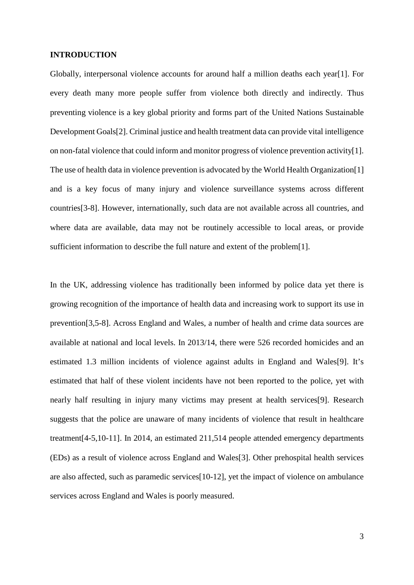#### **INTRODUCTION**

Globally, interpersonal violence accounts for around half a million deaths each year[1]. For every death many more people suffer from violence both directly and indirectly. Thus preventing violence is a key global priority and forms part of the United Nations Sustainable Development Goals[2]. Criminal justice and health treatment data can provide vital intelligence on non-fatal violence that could inform and monitor progress of violence prevention activity[1]. The use of health data in violence prevention is advocated by the World Health Organization[1] and is a key focus of many injury and violence surveillance systems across different countries[3-8]. However, internationally, such data are not available across all countries, and where data are available, data may not be routinely accessible to local areas, or provide sufficient information to describe the full nature and extent of the problem[1].

In the UK, addressing violence has traditionally been informed by police data yet there is growing recognition of the importance of health data and increasing work to support its use in prevention[3,5-8]. Across England and Wales, a number of health and crime data sources are available at national and local levels. In 2013/14, there were 526 recorded homicides and an estimated 1.3 million incidents of violence against adults in England and Wales[9]. It's estimated that half of these violent incidents have not been reported to the police, yet with nearly half resulting in injury many victims may present at health services[9]. Research suggests that the police are unaware of many incidents of violence that result in healthcare treatment[4-5,10-11]. In 2014, an estimated 211,514 people attended emergency departments (EDs) as a result of violence across England and Wales[3]. Other prehospital health services are also affected, such as paramedic services[10-12], yet the impact of violence on ambulance services across England and Wales is poorly measured.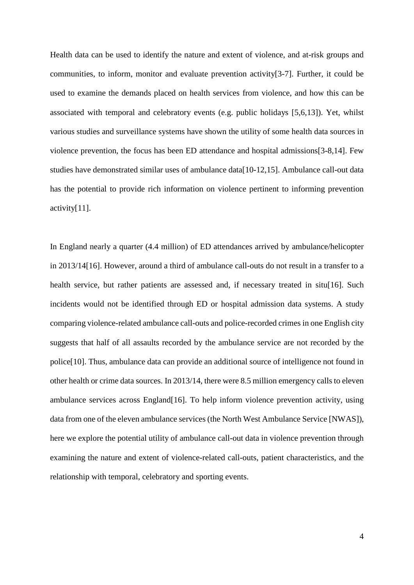Health data can be used to identify the nature and extent of violence, and at-risk groups and communities, to inform, monitor and evaluate prevention activity[3-7]. Further, it could be used to examine the demands placed on health services from violence, and how this can be associated with temporal and celebratory events (e.g. public holidays [5,6,13]). Yet, whilst various studies and surveillance systems have shown the utility of some health data sources in violence prevention, the focus has been ED attendance and hospital admissions[3-8,14]. Few studies have demonstrated similar uses of ambulance data[10-12,15]. Ambulance call-out data has the potential to provide rich information on violence pertinent to informing prevention activity[11].

In England nearly a quarter (4.4 million) of ED attendances arrived by ambulance/helicopter in 2013/14[16]. However, around a third of ambulance call-outs do not result in a transfer to a health service, but rather patients are assessed and, if necessary treated in situ[16]. Such incidents would not be identified through ED or hospital admission data systems. A study comparing violence-related ambulance call-outs and police-recorded crimes in one English city suggests that half of all assaults recorded by the ambulance service are not recorded by the police[10]. Thus, ambulance data can provide an additional source of intelligence not found in other health or crime data sources. In 2013/14, there were 8.5 million emergency calls to eleven ambulance services across England[16]. To help inform violence prevention activity, using data from one of the eleven ambulance services (the North West Ambulance Service [NWAS]), here we explore the potential utility of ambulance call-out data in violence prevention through examining the nature and extent of violence-related call-outs, patient characteristics, and the relationship with temporal, celebratory and sporting events.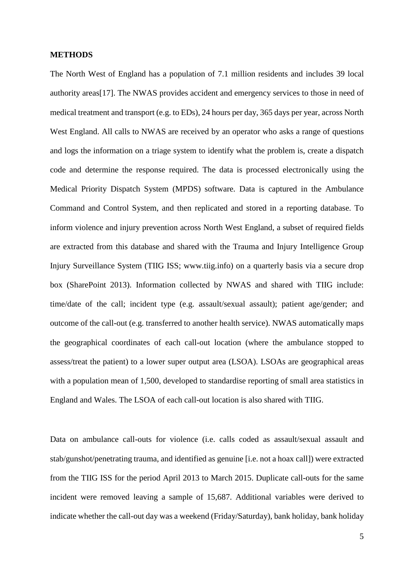#### **METHODS**

The North West of England has a population of 7.1 million residents and includes 39 local authority areas[17]. The NWAS provides accident and emergency services to those in need of medical treatment and transport (e.g. to EDs), 24 hours per day, 365 days per year, across North West England. All calls to NWAS are received by an operator who asks a range of questions and logs the information on a triage system to identify what the problem is, create a dispatch code and determine the response required. The data is processed electronically using the Medical Priority Dispatch System (MPDS) software. Data is captured in the Ambulance Command and Control System, and then replicated and stored in a reporting database. To inform violence and injury prevention across North West England, a subset of required fields are extracted from this database and shared with the Trauma and Injury Intelligence Group Injury Surveillance System (TIIG ISS; www.tiig.info) on a quarterly basis via a secure drop box (SharePoint 2013). Information collected by NWAS and shared with TIIG include: time/date of the call; incident type (e.g. assault/sexual assault); patient age/gender; and outcome of the call-out (e.g. transferred to another health service). NWAS automatically maps the geographical coordinates of each call-out location (where the ambulance stopped to assess/treat the patient) to a lower super output area (LSOA). LSOAs are geographical areas with a population mean of 1,500, developed to standardise reporting of small area statistics in England and Wales. The LSOA of each call-out location is also shared with TIIG.

Data on ambulance call-outs for violence (i.e. calls coded as assault/sexual assault and stab/gunshot/penetrating trauma, and identified as genuine [i.e. not a hoax call]) were extracted from the TIIG ISS for the period April 2013 to March 2015. Duplicate call-outs for the same incident were removed leaving a sample of 15,687. Additional variables were derived to indicate whether the call-out day was a weekend (Friday/Saturday), bank holiday, bank holiday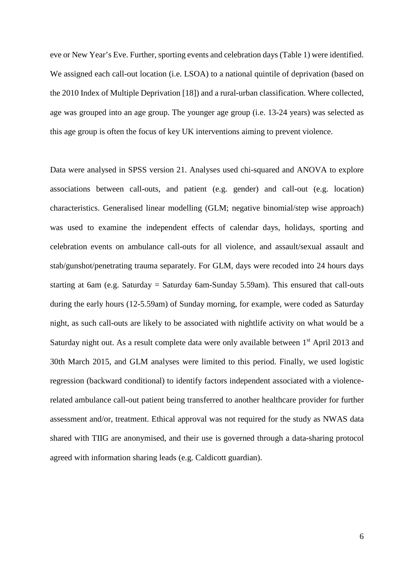eve or New Year's Eve. Further, sporting events and celebration days (Table 1) were identified. We assigned each call-out location (i.e. LSOA) to a national quintile of deprivation (based on the 2010 Index of Multiple Deprivation [18]) and a rural-urban classification. Where collected, age was grouped into an age group. The younger age group (i.e. 13-24 years) was selected as this age group is often the focus of key UK interventions aiming to prevent violence.

Data were analysed in SPSS version 21. Analyses used chi-squared and ANOVA to explore associations between call-outs, and patient (e.g. gender) and call-out (e.g. location) characteristics. Generalised linear modelling (GLM; negative binomial/step wise approach) was used to examine the independent effects of calendar days, holidays, sporting and celebration events on ambulance call-outs for all violence, and assault/sexual assault and stab/gunshot/penetrating trauma separately. For GLM, days were recoded into 24 hours days starting at 6am (e.g. Saturday = Saturday 6am-Sunday 5.59am). This ensured that call-outs during the early hours (12-5.59am) of Sunday morning, for example, were coded as Saturday night, as such call-outs are likely to be associated with nightlife activity on what would be a Saturday night out. As a result complete data were only available between 1<sup>st</sup> April 2013 and 30th March 2015, and GLM analyses were limited to this period. Finally, we used logistic regression (backward conditional) to identify factors independent associated with a violencerelated ambulance call-out patient being transferred to another healthcare provider for further assessment and/or, treatment. Ethical approval was not required for the study as NWAS data shared with TIIG are anonymised, and their use is governed through a data-sharing protocol agreed with information sharing leads (e.g. Caldicott guardian).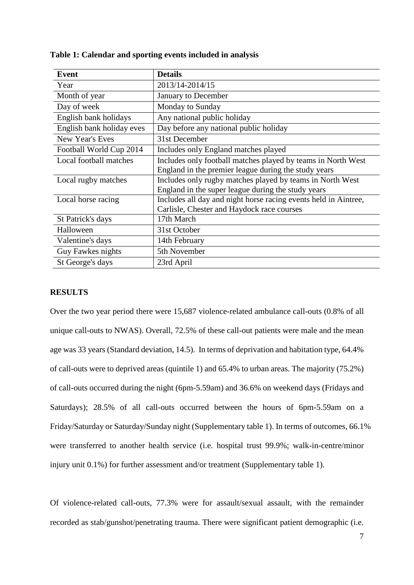| Event                     | <b>Details</b>                                                  |
|---------------------------|-----------------------------------------------------------------|
| Year                      | 2013/14-2014/15                                                 |
| Month of year             | January to December                                             |
| Day of week               | Monday to Sunday                                                |
| English bank holidays     | Any national public holiday                                     |
| English bank holiday eves | Day before any national public holiday                          |
| New Year's Eves           | 31st December                                                   |
| Football World Cup 2014   | Includes only England matches played                            |
| Local football matches    | Includes only football matches played by teams in North West    |
|                           | England in the premier league during the study years            |
| Local rugby matches       | Includes only rugby matches played by teams in North West       |
|                           | England in the super league during the study years              |
| Local horse racing        | Includes all day and night horse racing events held in Aintree, |
|                           | Carlisle, Chester and Haydock race courses                      |
| St Patrick's days         | 17th March                                                      |
| Halloween                 | 31st October                                                    |
| Valentine's days          | 14th February                                                   |
| Guy Fawkes nights         | 5th November                                                    |
| St George's days          | 23rd April                                                      |

#### **Table 1: Calendar and sporting events included in analysis**

#### **RESULTS**

Over the two year period there were 15,687 violence-related ambulance call-outs (0.8% of all unique call-outs to NWAS). Overall, 72.5% of these call-out patients were male and the mean age was 33 years (Standard deviation, 14.5). In terms of deprivation and habitation type, 64.4% of call-outs were to deprived areas (quintile 1) and 65.4% to urban areas. The majority (75.2%) of call-outs occurred during the night (6pm-5.59am) and 36.6% on weekend days (Fridays and Saturdays); 28.5% of all call-outs occurred between the hours of 6pm-5.59am on a Friday/Saturday or Saturday/Sunday night (Supplementary table 1). In terms of outcomes, 66.1% were transferred to another health service (i.e. hospital trust 99.9%; walk-in-centre/minor injury unit 0.1%) for further assessment and/or treatment (Supplementary table 1).

Of violence-related call-outs, 77.3% were for assault/sexual assault, with the remainder recorded as stab/gunshot/penetrating trauma. There were significant patient demographic (i.e.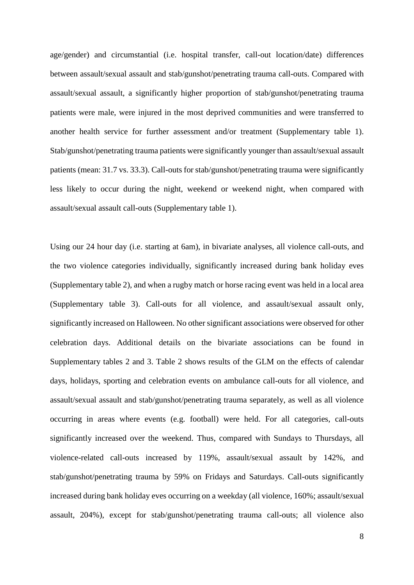age/gender) and circumstantial (i.e. hospital transfer, call-out location/date) differences between assault/sexual assault and stab/gunshot/penetrating trauma call-outs. Compared with assault/sexual assault, a significantly higher proportion of stab/gunshot/penetrating trauma patients were male, were injured in the most deprived communities and were transferred to another health service for further assessment and/or treatment (Supplementary table 1). Stab/gunshot/penetrating trauma patients were significantly younger than assault/sexual assault patients (mean: 31.7 vs. 33.3). Call-outs for stab/gunshot/penetrating trauma were significantly less likely to occur during the night, weekend or weekend night, when compared with assault/sexual assault call-outs (Supplementary table 1).

Using our 24 hour day (i.e. starting at 6am), in bivariate analyses, all violence call-outs, and the two violence categories individually, significantly increased during bank holiday eves (Supplementary table 2), and when a rugby match or horse racing event was held in a local area (Supplementary table 3). Call-outs for all violence, and assault/sexual assault only, significantly increased on Halloween. No other significant associations were observed for other celebration days. Additional details on the bivariate associations can be found in Supplementary tables 2 and 3. Table 2 shows results of the GLM on the effects of calendar days, holidays, sporting and celebration events on ambulance call-outs for all violence, and assault/sexual assault and stab/gunshot/penetrating trauma separately, as well as all violence occurring in areas where events (e.g. football) were held. For all categories, call-outs significantly increased over the weekend. Thus, compared with Sundays to Thursdays, all violence-related call-outs increased by 119%, assault/sexual assault by 142%, and stab/gunshot/penetrating trauma by 59% on Fridays and Saturdays. Call-outs significantly increased during bank holiday eves occurring on a weekday (all violence, 160%; assault/sexual assault, 204%), except for stab/gunshot/penetrating trauma call-outs; all violence also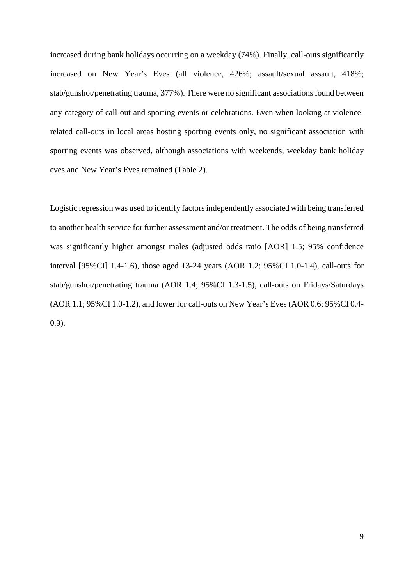increased during bank holidays occurring on a weekday (74%). Finally, call-outs significantly increased on New Year's Eves (all violence, 426%; assault/sexual assault, 418%; stab/gunshot/penetrating trauma, 377%). There were no significant associations found between any category of call-out and sporting events or celebrations. Even when looking at violencerelated call-outs in local areas hosting sporting events only, no significant association with sporting events was observed, although associations with weekends, weekday bank holiday eves and New Year's Eves remained (Table 2).

Logistic regression was used to identify factors independently associated with being transferred to another health service for further assessment and/or treatment. The odds of being transferred was significantly higher amongst males (adjusted odds ratio [AOR] 1.5; 95% confidence interval [95%CI] 1.4-1.6), those aged 13-24 years (AOR 1.2; 95%CI 1.0-1.4), call-outs for stab/gunshot/penetrating trauma (AOR 1.4; 95%CI 1.3-1.5), call-outs on Fridays/Saturdays (AOR 1.1; 95%CI 1.0-1.2), and lower for call-outs on New Year's Eves (AOR 0.6; 95%CI 0.4- 0.9).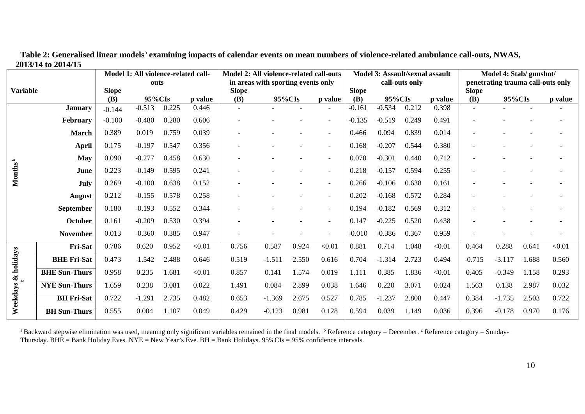|                     |                      |              | Model 1: All violence-related call- |       |                                    | Model 2: All violence-related call-outs |          |       |                          | Model 3: Assault/sexual assault |          |       |                                   | Model 4: Stab/ gunshot/ |          |       |         |
|---------------------|----------------------|--------------|-------------------------------------|-------|------------------------------------|-----------------------------------------|----------|-------|--------------------------|---------------------------------|----------|-------|-----------------------------------|-------------------------|----------|-------|---------|
|                     |                      | outs         |                                     |       | in areas with sporting events only |                                         |          |       | call-outs only           |                                 |          |       | penetrating trauma call-outs only |                         |          |       |         |
| <b>Variable</b>     |                      | <b>Slope</b> |                                     |       |                                    | <b>Slope</b>                            |          |       |                          | <b>Slope</b>                    |          |       |                                   | <b>Slope</b>            |          |       |         |
|                     |                      | (B)          | 95%CIs                              |       | p value                            | (B)                                     | 95%CIs   |       | p value                  | (B)                             | 95%CIs   |       | p value                           | (B)                     | 95%CIs   |       | p value |
| Months              | <b>January</b>       | $-0.144$     | $-0.513$                            | 0.225 | 0.446                              | $\blacksquare$                          |          |       |                          | $-0.161$                        | $-0.534$ | 0.212 | 0.398                             |                         |          |       |         |
|                     | February             | $-0.100$     | $-0.480$                            | 0.280 | 0.606                              |                                         |          |       | $\overline{\phantom{a}}$ | $-0.135$                        | $-0.519$ | 0.249 | 0.491                             |                         |          |       |         |
|                     | <b>March</b>         | 0.389        | 0.019                               | 0.759 | 0.039                              |                                         |          |       | $\overline{\phantom{a}}$ | 0.466                           | 0.094    | 0.839 | 0.014                             |                         |          |       |         |
|                     | <b>April</b>         | 0.175        | $-0.197$                            | 0.547 | 0.356                              |                                         |          |       | $\overline{\phantom{a}}$ | 0.168                           | $-0.207$ | 0.544 | 0.380                             |                         |          |       |         |
|                     | <b>May</b>           | 0.090        | $-0.277$                            | 0.458 | 0.630                              |                                         |          |       | $\overline{\phantom{a}}$ | 0.070                           | $-0.301$ | 0.440 | 0.712                             |                         |          |       |         |
|                     | June                 | 0.223        | $-0.149$                            | 0.595 | 0.241                              |                                         |          |       | $\overline{\phantom{a}}$ | 0.218                           | $-0.157$ | 0.594 | 0.255                             |                         |          |       |         |
|                     | July                 | 0.269        | $-0.100$                            | 0.638 | 0.152                              |                                         |          |       | $\overline{\phantom{a}}$ | 0.266                           | $-0.106$ | 0.638 | 0.161                             |                         |          |       |         |
|                     | August               | 0.212        | $-0.155$                            | 0.578 | 0.258                              |                                         |          |       | $\overline{\phantom{a}}$ | 0.202                           | $-0.168$ | 0.572 | 0.284                             |                         |          |       |         |
|                     | September            | 0.180        | $-0.193$                            | 0.552 | 0.344                              |                                         |          |       | $\overline{\phantom{a}}$ | 0.194                           | $-0.182$ | 0.569 | 0.312                             |                         |          |       |         |
|                     | October              | 0.161        | $-0.209$                            | 0.530 | 0.394                              |                                         |          |       | $\overline{\phantom{a}}$ | 0.147                           | $-0.225$ | 0.520 | 0.438                             |                         |          |       |         |
|                     | <b>November</b>      | 0.013        | $-0.360$                            | 0.385 | 0.947                              |                                         |          |       | $\overline{\phantom{0}}$ | $-0.010$                        | $-0.386$ | 0.367 | 0.959                             |                         |          |       |         |
| Weekdays & holidays | Fri-Sat              | 0.786        | 0.620                               | 0.952 | < 0.01                             | 0.756                                   | 0.587    | 0.924 | < 0.01                   | 0.881                           | 0.714    | 1.048 | < 0.01                            | 0.464                   | 0.288    | 0.641 | < 0.01  |
|                     | <b>BHE Fri-Sat</b>   | 0.473        | $-1.542$                            | 2.488 | 0.646                              | 0.519                                   | $-1.511$ | 2.550 | 0.616                    | 0.704                           | $-1.314$ | 2.723 | 0.494                             | $-0.715$                | $-3.117$ | 1.688 | 0.560   |
|                     | <b>BHE Sun-Thurs</b> | 0.958        | 0.235                               | 1.681 | < 0.01                             | 0.857                                   | 0.141    | 1.574 | 0.019                    | 1.111                           | 0.385    | 1.836 | < 0.01                            | 0.405                   | $-0.349$ | 1.158 | 0.293   |
|                     | <b>NYE Sun-Thurs</b> | 1.659        | 0.238                               | 3.081 | 0.022                              | 1.491                                   | 0.084    | 2.899 | 0.038                    | 1.646                           | 0.220    | 3.071 | 0.024                             | 1.563                   | 0.138    | 2.987 | 0.032   |
|                     | <b>BH</b> Fri-Sat    | 0.722        | $-1.291$                            | 2.735 | 0.482                              | 0.653                                   | $-1.369$ | 2.675 | 0.527                    | 0.785                           | $-1.237$ | 2.808 | 0.447                             | 0.384                   | $-1.735$ | 2.503 | 0.722   |
|                     | <b>BH</b> Sun-Thurs  | 0.555        | 0.004                               | 1.107 | 0.049                              | 0.429                                   | $-0.123$ | 0.981 | 0.128                    | 0.594                           | 0.039    | 1.149 | 0.036                             | 0.396                   | $-0.178$ | 0.970 | 0.176   |

Table 2: Generalised linear models<sup>a</sup> examining impacts of calendar events on mean numbers of violence-related ambulance call-outs, NWAS, **2013/14 to 2014/15**

<sup>a</sup> Backward stepwise elimination was used, meaning only significant variables remained in the final models. <sup>b</sup> Reference category = December. <sup>c</sup> Reference category = Sunday-Thursday. BHE = Bank Holiday Eves. NYE = New Year's Eve. BH = Bank Holidays.  $95\%$ CIs =  $95\%$  confidence intervals.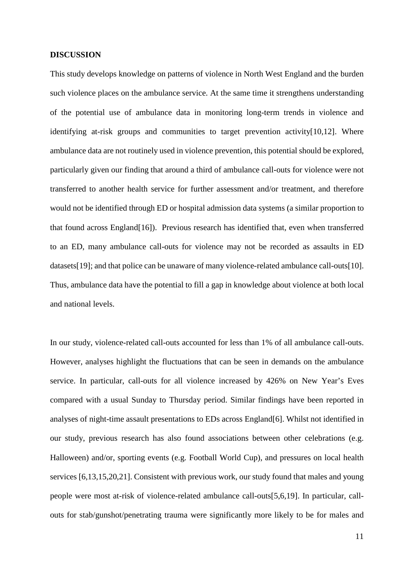#### **DISCUSSION**

This study develops knowledge on patterns of violence in North West England and the burden such violence places on the ambulance service. At the same time it strengthens understanding of the potential use of ambulance data in monitoring long-term trends in violence and identifying at-risk groups and communities to target prevention activity[10,12]. Where ambulance data are not routinely used in violence prevention, this potential should be explored, particularly given our finding that around a third of ambulance call-outs for violence were not transferred to another health service for further assessment and/or treatment, and therefore would not be identified through ED or hospital admission data systems (a similar proportion to that found across England[16]). Previous research has identified that, even when transferred to an ED, many ambulance call-outs for violence may not be recorded as assaults in ED datasets[19]; and that police can be unaware of many violence-related ambulance call-outs[10]. Thus, ambulance data have the potential to fill a gap in knowledge about violence at both local and national levels.

In our study, violence-related call-outs accounted for less than 1% of all ambulance call-outs. However, analyses highlight the fluctuations that can be seen in demands on the ambulance service. In particular, call-outs for all violence increased by 426% on New Year's Eves compared with a usual Sunday to Thursday period. Similar findings have been reported in analyses of night-time assault presentations to EDs across England[6]. Whilst not identified in our study, previous research has also found associations between other celebrations (e.g. Halloween) and/or, sporting events (e.g. Football World Cup), and pressures on local health services [6,13,15,20,21]. Consistent with previous work, our study found that males and young people were most at-risk of violence-related ambulance call-outs[5,6,19]. In particular, callouts for stab/gunshot/penetrating trauma were significantly more likely to be for males and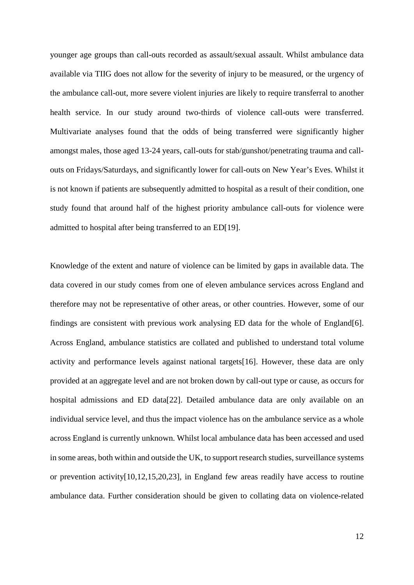younger age groups than call-outs recorded as assault/sexual assault. Whilst ambulance data available via TIIG does not allow for the severity of injury to be measured, or the urgency of the ambulance call-out, more severe violent injuries are likely to require transferral to another health service. In our study around two-thirds of violence call-outs were transferred. Multivariate analyses found that the odds of being transferred were significantly higher amongst males, those aged 13-24 years, call-outs for stab/gunshot/penetrating trauma and callouts on Fridays/Saturdays, and significantly lower for call-outs on New Year's Eves. Whilst it is not known if patients are subsequently admitted to hospital as a result of their condition, one study found that around half of the highest priority ambulance call-outs for violence were admitted to hospital after being transferred to an ED[19].

Knowledge of the extent and nature of violence can be limited by gaps in available data. The data covered in our study comes from one of eleven ambulance services across England and therefore may not be representative of other areas, or other countries. However, some of our findings are consistent with previous work analysing ED data for the whole of England[6]. Across England, ambulance statistics are collated and published to understand total volume activity and performance levels against national targets[16]. However, these data are only provided at an aggregate level and are not broken down by call-out type or cause, as occurs for hospital admissions and ED data[22]. Detailed ambulance data are only available on an individual service level, and thus the impact violence has on the ambulance service as a whole across England is currently unknown. Whilst local ambulance data has been accessed and used in some areas, both within and outside the UK, to support research studies, surveillance systems or prevention activity[10,12,15,20,23], in England few areas readily have access to routine ambulance data. Further consideration should be given to collating data on violence-related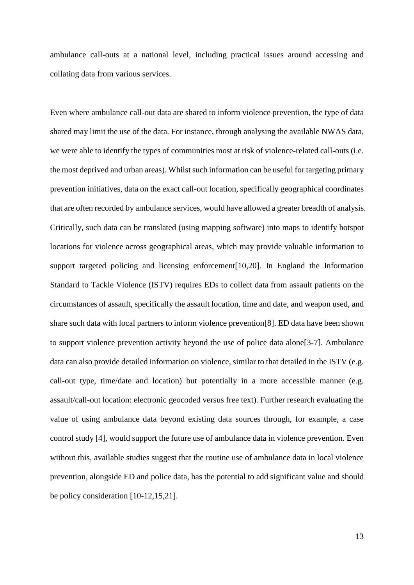ambulance call-outs at a national level, including practical issues around accessing and collating data from various services.

Even where ambulance call-out data are shared to inform violence prevention, the type of data shared may limit the use of the data. For instance, through analysing the available NWAS data, we were able to identify the types of communities most at risk of violence-related call-outs (i.e. the most deprived and urban areas). Whilst such information can be useful for targeting primary prevention initiatives, data on the exact call-out location, specifically geographical coordinates that are often recorded by ambulance services, would have allowed a greater breadth of analysis. Critically, such data can be translated (using mapping software) into maps to identify hotspot locations for violence across geographical areas, which may provide valuable information to support targeted policing and licensing enforcement[10,20]. In England the Information Standard to Tackle Violence (ISTV) requires EDs to collect data from assault patients on the circumstances of assault, specifically the assault location, time and date, and weapon used, and share such data with local partners to inform violence prevention[8]. ED data have been shown to support violence prevention activity beyond the use of police data alone[3-7]. Ambulance data can also provide detailed information on violence, similar to that detailed in the ISTV (e.g. call-out type, time/date and location) but potentially in a more accessible manner (e.g. assault/call-out location: electronic geocoded versus free text). Further research evaluating the value of using ambulance data beyond existing data sources through, for example, a case control study [4], would support the future use of ambulance data in violence prevention. Even without this, available studies suggest that the routine use of ambulance data in local violence prevention, alongside ED and police data, has the potential to add significant value and should be policy consideration [10-12,15,21].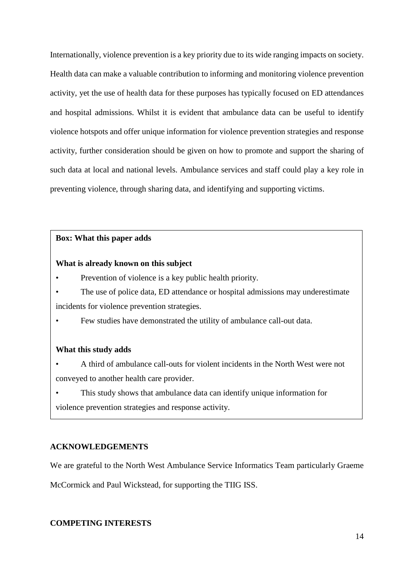Internationally, violence prevention is a key priority due to its wide ranging impacts on society. Health data can make a valuable contribution to informing and monitoring violence prevention activity, yet the use of health data for these purposes has typically focused on ED attendances and hospital admissions. Whilst it is evident that ambulance data can be useful to identify violence hotspots and offer unique information for violence prevention strategies and response activity, further consideration should be given on how to promote and support the sharing of such data at local and national levels. Ambulance services and staff could play a key role in preventing violence, through sharing data, and identifying and supporting victims.

#### **Box: What this paper adds**

## **What is already known on this subject**

- Prevention of violence is a key public health priority.
- The use of police data, ED attendance or hospital admissions may underestimate incidents for violence prevention strategies.
- Few studies have demonstrated the utility of ambulance call-out data.

### **What this study adds**

- A third of ambulance call-outs for violent incidents in the North West were not conveyed to another health care provider.
- This study shows that ambulance data can identify unique information for violence prevention strategies and response activity.

#### **ACKNOWLEDGEMENTS**

We are grateful to the North West Ambulance Service Informatics Team particularly Graeme McCormick and Paul Wickstead, for supporting the TIIG ISS.

## **COMPETING INTERESTS**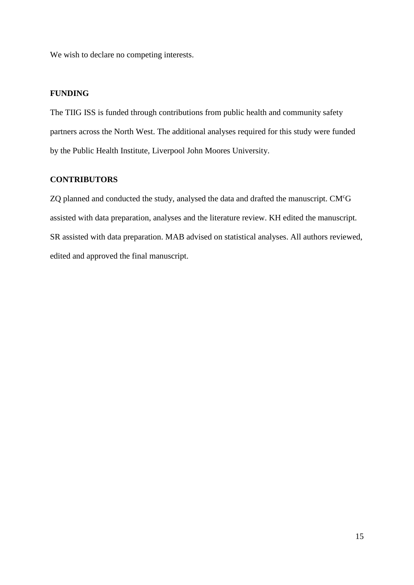We wish to declare no competing interests.

## **FUNDING**

The TIIG ISS is funded through contributions from public health and community safety partners across the North West. The additional analyses required for this study were funded by the Public Health Institute, Liverpool John Moores University.

## **CONTRIBUTORS**

ZQ planned and conducted the study, analysed the data and drafted the manuscript. CM<sup>c</sup>G assisted with data preparation, analyses and the literature review. KH edited the manuscript. SR assisted with data preparation. MAB advised on statistical analyses. All authors reviewed, edited and approved the final manuscript.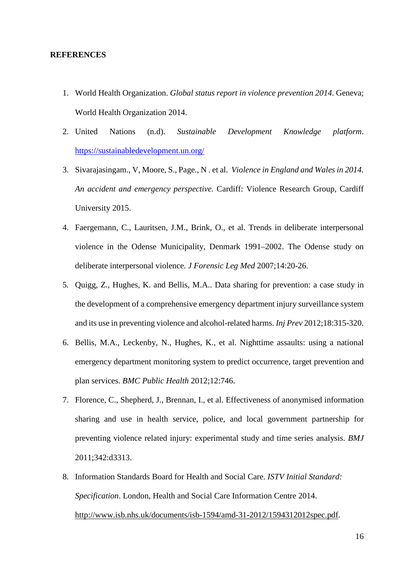#### **REFERENCES**

- 1. World Health Organization. *Global status report in violence prevention 2014*. Geneva; World Health Organization 2014.
- 2. United Nations (n.d). *Sustainable Development Knowledge platform*. <https://sustainabledevelopment.un.org/>
- 3. Sivarajasingam., V, Moore, S., Page., N . et al. *Violence in England and Wales in 2014. An accident and emergency perspective.* Cardiff: Violence Research Group, Cardiff University 2015.
- 4. Faergemann, C., Lauritsen, J.M., Brink, O., et al. Trends in deliberate interpersonal violence in the Odense Municipality, Denmark 1991–2002. The Odense study on deliberate interpersonal violence. *J Forensic Leg Med* 2007;14:20-26.
- 5. Quigg, Z., Hughes, K. and Bellis, M.A.. Data sharing for prevention: a case study in the development of a comprehensive emergency department injury surveillance system and its use in preventing violence and alcohol-related harms. *Inj Prev* 2012;18:315-320.
- 6. Bellis, M.A., Leckenby, N., Hughes, K., et al. Nighttime assaults: using a national emergency department monitoring system to predict occurrence, target prevention and plan services. *BMC Public Health* 2012;12:746.
- 7. Florence, C., Shepherd, J., Brennan, I., et al. Effectiveness of anonymised information sharing and use in health service, police, and local government partnership for preventing violence related injury: experimental study and time series analysis. *BMJ*  2011;342:d3313.
- 8. Information Standards Board for Health and Social Care. *ISTV Initial Standard: Specification*. London, Health and Social Care Information Centre 2014. [http://www.isb.nhs.uk/documents/isb-1594/amd-31-2012/1594312012spec.pdf.](http://www.isb.nhs.uk/documents/isb-1594/amd-31-2012/1594312012spec.pdf)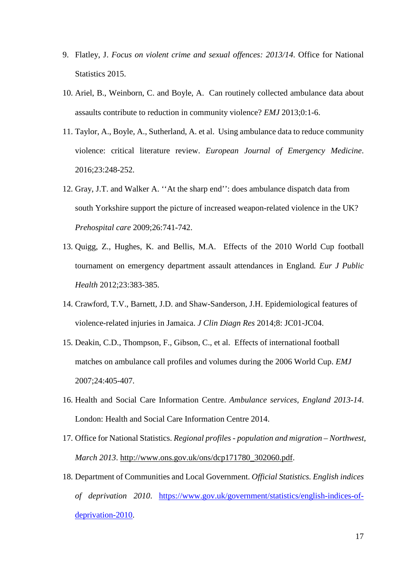- 9. Flatley, J. *Focus on violent crime and sexual offences: 2013/14*. Office for National Statistics 2015.
- 10. Ariel, B., Weinborn, C. and Boyle, A. Can routinely collected ambulance data about assaults contribute to reduction in community violence? *EMJ* 2013;0:1-6.
- 11. Taylor, A., Boyle, A., Sutherland, A. et al. Using ambulance data to reduce community violence: critical literature review. *European Journal of Emergency Medicine*. 2016;23:248-252.
- 12. Gray, J.T. and Walker A. ''At the sharp end'': does ambulance dispatch data from south Yorkshire support the picture of increased weapon-related violence in the UK? *Prehospital care* 2009;26:741-742.
- 13. Quigg, Z., Hughes, K. and Bellis, M.A. Effects of the 2010 World Cup football tournament on emergency department assault attendances in England*. Eur J Public Health* 2012;23:383-385.
- 14. [Crawford,](http://www.ncbi.nlm.nih.gov/pubmed/?term=Crawford%20TV%5Bauth%5D) T.V., [Barnett,](http://www.ncbi.nlm.nih.gov/pubmed/?term=Barnett%20JD%5Bauth%5D) J.D. and Shaw-Sanderson, J.H. Epidemiological features of violence-related injuries in Jamaica. *J Clin Diagn Res* 2014;8: JC01-JC04.
- 15. Deakin, C.D., Thompson, F., Gibson, C., et al. Effects of international football matches on ambulance call profiles and volumes during the 2006 World Cup. *EMJ*  2007;24:405-407.
- 16. Health and Social Care Information Centre. *Ambulance services, England 2013-14*. London: Health and Social Care Information Centre 2014.
- 17. Office for National Statistics. *Regional profiles - population and migration – Northwest, March 2013*. [http://www.ons.gov.uk/ons/dcp171780\\_302060.pdf.](http://www.ons.gov.uk/ons/dcp171780_302060.pdf)
- 18. Department of Communities and Local Government. *Official Statistics. English indices of deprivation 2010*. [https://www.gov.uk/government/statistics/english-indices-of](https://www.gov.uk/government/statistics/english-indices-of-deprivation-2010)[deprivation-2010.](https://www.gov.uk/government/statistics/english-indices-of-deprivation-2010)